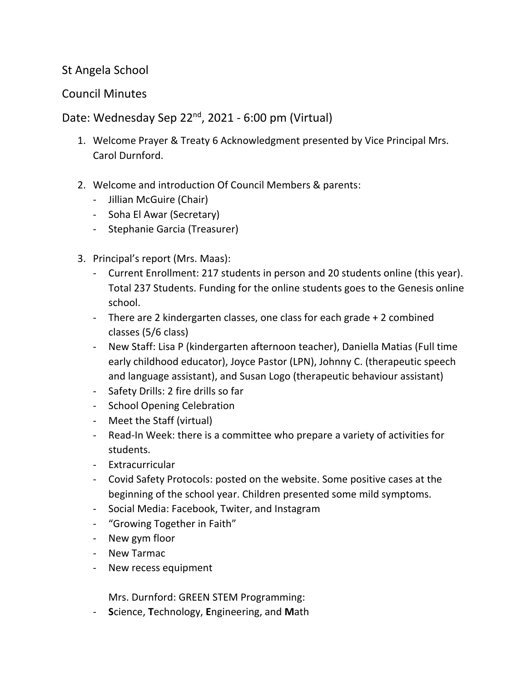## St Angela School

## Council Minutes

Date: Wednesday Sep 22<sup>nd</sup>, 2021 - 6:00 pm (Virtual)

- 1. Welcome Prayer & Treaty 6 Acknowledgment presented by Vice Principal Mrs. Carol Durnford.
- 2. Welcome and introduction Of Council Members & parents:
	- Jillian McGuire (Chair)
	- Soha El Awar (Secretary)
	- Stephanie Garcia (Treasurer)
- 3. Principal's report (Mrs. Maas):
	- Current Enrollment: 217 students in person and 20 students online (this year). Total 237 Students. Funding for the online students goes to the Genesis online school.
	- There are 2 kindergarten classes, one class for each grade + 2 combined classes (5/6 class)
	- New Staff: Lisa P (kindergarten afternoon teacher), Daniella Matias (Full time early childhood educator), Joyce Pastor (LPN), Johnny C. (therapeutic speech and language assistant), and Susan Logo (therapeutic behaviour assistant)
	- Safety Drills: 2 fire drills so far
	- School Opening Celebration
	- Meet the Staff (virtual)
	- Read-In Week: there is a committee who prepare a variety of activities for students.
	- Extracurricular
	- Covid Safety Protocols: posted on the website. Some positive cases at the beginning of the school year. Children presented some mild symptoms.
	- Social Media: Facebook, Twiter, and Instagram
	- "Growing Together in Faith"
	- New gym floor
	- New Tarmac
	- New recess equipment

Mrs. Durnford: GREEN STEM Programming:

- **S**cience, **T**echnology, **E**ngineering, and **M**ath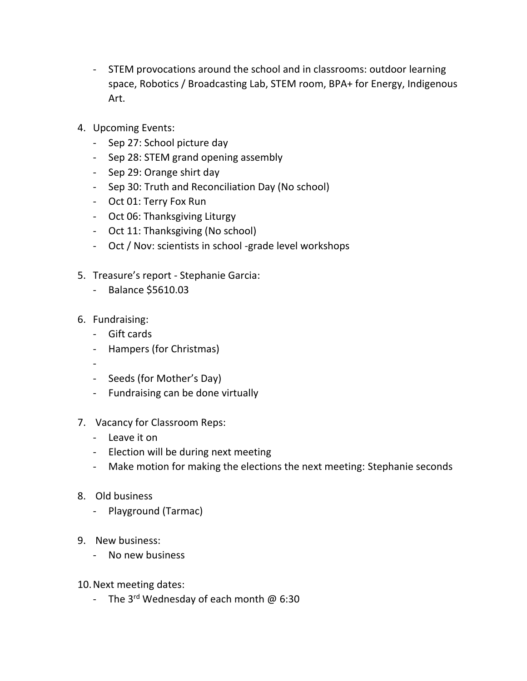- STEM provocations around the school and in classrooms: outdoor learning space, Robotics / Broadcasting Lab, STEM room, BPA+ for Energy, Indigenous Art.
- 4. Upcoming Events:
	- Sep 27: School picture day
	- Sep 28: STEM grand opening assembly
	- Sep 29: Orange shirt day
	- Sep 30: Truth and Reconciliation Day (No school)
	- Oct 01: Terry Fox Run
	- Oct 06: Thanksgiving Liturgy
	- Oct 11: Thanksgiving (No school)
	- Oct / Nov: scientists in school -grade level workshops
- 5. Treasure's report Stephanie Garcia:
	- Balance \$5610.03
- 6. Fundraising:
	- Gift cards
	- Hampers (for Christmas)
	- -
	- Seeds (for Mother's Day)
	- Fundraising can be done virtually
- 7. Vacancy for Classroom Reps:
	- Leave it on
	- Election will be during next meeting
	- Make motion for making the elections the next meeting: Stephanie seconds
- 8. Old business
	- Playground (Tarmac)
- 9. New business:
	- No new business
- 10.Next meeting dates:
	- The 3<sup>rd</sup> Wednesday of each month  $@6:30$